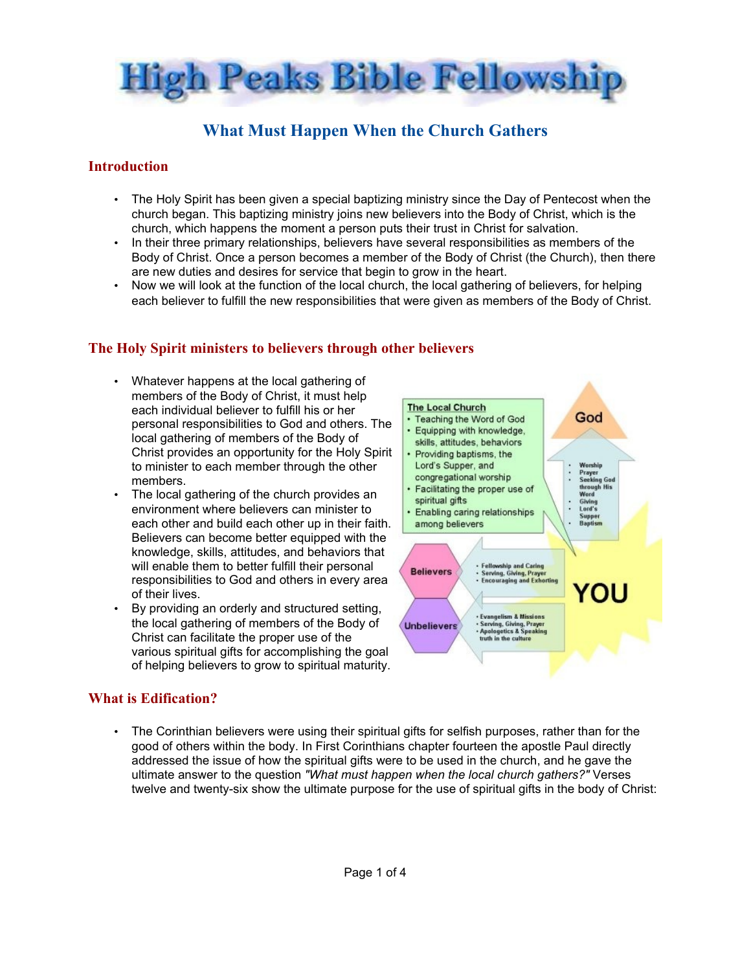

# **What Must Happen When the Church Gathers**

### **Introduction**

- The Holy Spirit has been given a special baptizing ministry since the Day of Pentecost when the church began. This baptizing ministry joins new believers into the Body of Christ, which is the church, which happens the moment a person puts their trust in Christ for salvation.
- In their three primary relationships, believers have several responsibilities as members of the Body of Christ. Once a person becomes a member of the Body of Christ (the Church), then there are new duties and desires for service that begin to grow in the heart.
- Now we will look at the function of the local church, the local gathering of believers, for helping each believer to fulfill the new responsibilities that were given as members of the Body of Christ.

### **The Holy Spirit ministers to believers through other believers**

- Whatever happens at the local gathering of members of the Body of Christ, it must help each individual believer to fulfill his or her personal responsibilities to God and others. The local gathering of members of the Body of Christ provides an opportunity for the Holy Spirit to minister to each member through the other members.
- The local gathering of the church provides an environment where believers can minister to each other and build each other up in their faith. Believers can become better equipped with the knowledge, skills, attitudes, and behaviors that will enable them to better fulfill their personal responsibilities to God and others in every area of their lives.
- By providing an orderly and structured setting, the local gathering of members of the Body of Christ can facilitate the proper use of the various spiritual gifts for accomplishing the goal of helping believers to grow to spiritual maturity.



### **What is Edification?**

• The Corinthian believers were using their spiritual gifts for selfish purposes, rather than for the good of others within the body. In First Corinthians chapter fourteen the apostle Paul directly addressed the issue of how the spiritual gifts were to be used in the church, and he gave the ultimate answer to the question *"What must happen when the local church gathers?"* Verses twelve and twenty-six show the ultimate purpose for the use of spiritual gifts in the body of Christ: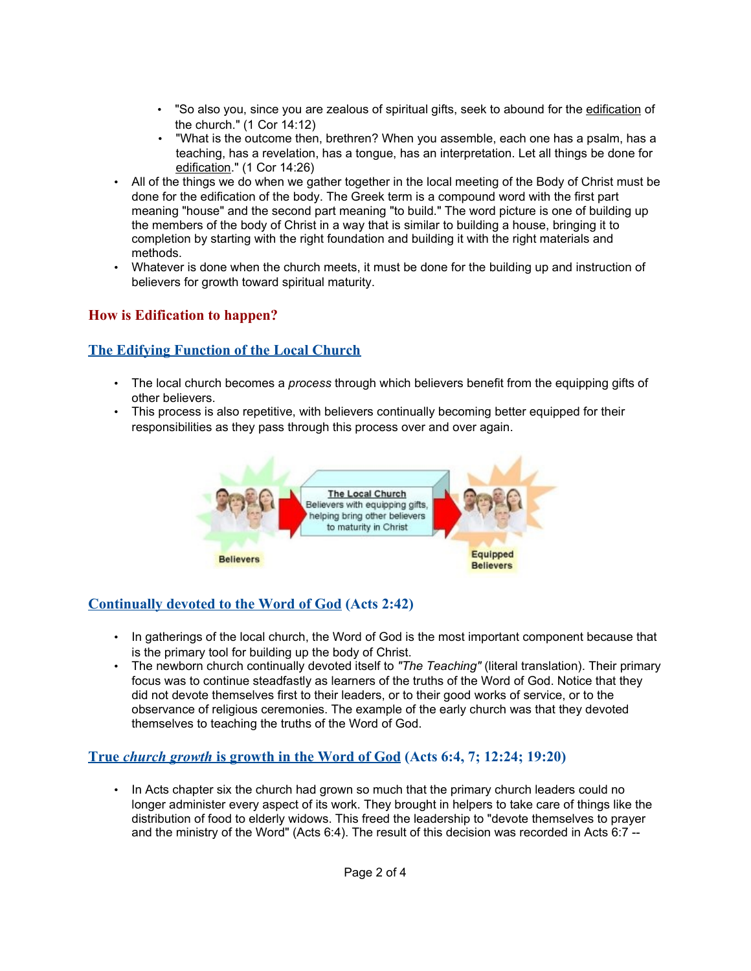- "So also you, since you are zealous of spiritual gifts, seek to abound for the edification of the church." (1 Cor 14:12)
- "What is the outcome then, brethren? When you assemble, each one has a psalm, has a teaching, has a revelation, has a tongue, has an interpretation. Let all things be done for edification." (1 Cor 14:26)
- All of the things we do when we gather together in the local meeting of the Body of Christ must be done for the edification of the body. The Greek term is a compound word with the first part meaning "house" and the second part meaning "to build." The word picture is one of building up the members of the body of Christ in a way that is similar to building a house, bringing it to completion by starting with the right foundation and building it with the right materials and methods.
- Whatever is done when the church meets, it must be done for the building up and instruction of believers for growth toward spiritual maturity.

### **How is Edification to happen?**

### **The Edifying Function of the Local Church**

- The local church becomes a *process* through which believers benefit from the equipping gifts of other believers.
- This process is also repetitive, with believers continually becoming better equipped for their responsibilities as they pass through this process over and over again.



## **Continually devoted to the Word of God (Acts 2:42)**

- In gatherings of the local church, the Word of God is the most important component because that is the primary tool for building up the body of Christ.
- The newborn church continually devoted itself to *"The Teaching"* (literal translation). Their primary focus was to continue steadfastly as learners of the truths of the Word of God. Notice that they did not devote themselves first to their leaders, or to their good works of service, or to the observance of religious ceremonies. The example of the early church was that they devoted themselves to teaching the truths of the Word of God.

#### **True** *church growth* is growth in the Word of God (Acts 6:4, 7; 12:24; 19:20)

• In Acts chapter six the church had grown so much that the primary church leaders could no longer administer every aspect of its work. They brought in helpers to take care of things like the distribution of food to elderly widows. This freed the leadership to "devote themselves to prayer and the ministry of the Word" (Acts 6:4). The result of this decision was recorded in Acts 6:7 --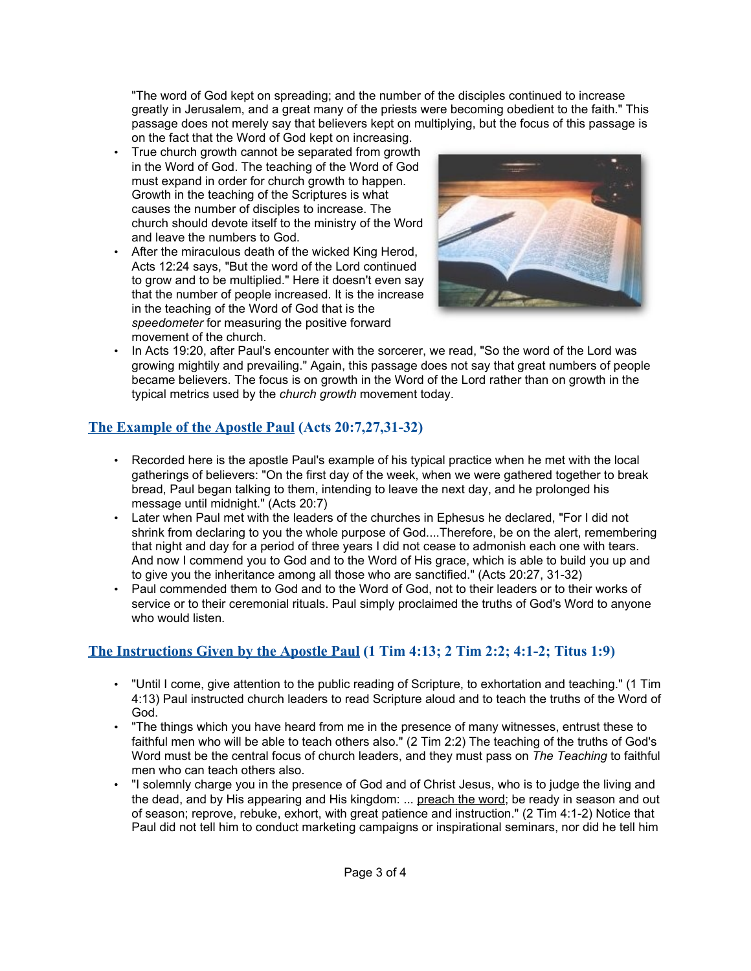"The word of God kept on spreading; and the number of the disciples continued to increase greatly in Jerusalem, and a great many of the priests were becoming obedient to the faith." This passage does not merely say that believers kept on multiplying, but the focus of this passage is on the fact that the Word of God kept on increasing.

- True church growth cannot be separated from growth in the Word of God. The teaching of the Word of God must expand in order for church growth to happen. Growth in the teaching of the Scriptures is what causes the number of disciples to increase. The church should devote itself to the ministry of the Word and leave the numbers to God.
- After the miraculous death of the wicked King Herod, Acts 12:24 says, "But the word of the Lord continued to grow and to be multiplied." Here it doesn't even say that the number of people increased. It is the increase in the teaching of the Word of God that is the *speedometer* for measuring the positive forward movement of the church.



• In Acts 19:20, after Paul's encounter with the sorcerer, we read, "So the word of the Lord was growing mightily and prevailing." Again, this passage does not say that great numbers of people became believers. The focus is on growth in the Word of the Lord rather than on growth in the typical metrics used by the *church growth* movement today.

## **The Example of the Apostle Paul (Acts 20:7,27,31-32)**

- Recorded here is the apostle Paul's example of his typical practice when he met with the local gatherings of believers: "On the first day of the week, when we were gathered together to break bread, Paul began talking to them, intending to leave the next day, and he prolonged his message until midnight." (Acts 20:7)
- Later when Paul met with the leaders of the churches in Ephesus he declared, "For I did not shrink from declaring to you the whole purpose of God....Therefore, be on the alert, remembering that night and day for a period of three years I did not cease to admonish each one with tears. And now I commend you to God and to the Word of His grace, which is able to build you up and to give you the inheritance among all those who are sanctified." (Acts 20:27, 31-32)
- Paul commended them to God and to the Word of God, not to their leaders or to their works of service or to their ceremonial rituals. Paul simply proclaimed the truths of God's Word to anvone who would listen.

# **The Instructions Given by the Apostle Paul (1 Tim 4:13; 2 Tim 2:2; 4:1-2; Titus 1:9)**

- "Until I come, give attention to the public reading of Scripture, to exhortation and teaching." (1 Tim 4:13) Paul instructed church leaders to read Scripture aloud and to teach the truths of the Word of God.
- "The things which you have heard from me in the presence of many witnesses, entrust these to faithful men who will be able to teach others also." (2 Tim 2:2) The teaching of the truths of God's Word must be the central focus of church leaders, and they must pass on *The Teaching* to faithful men who can teach others also.
- "I solemnly charge you in the presence of God and of Christ Jesus, who is to judge the living and the dead, and by His appearing and His kingdom: ... preach the word; be ready in season and out of season; reprove, rebuke, exhort, with great patience and instruction." (2 Tim 4:1-2) Notice that Paul did not tell him to conduct marketing campaigns or inspirational seminars, nor did he tell him